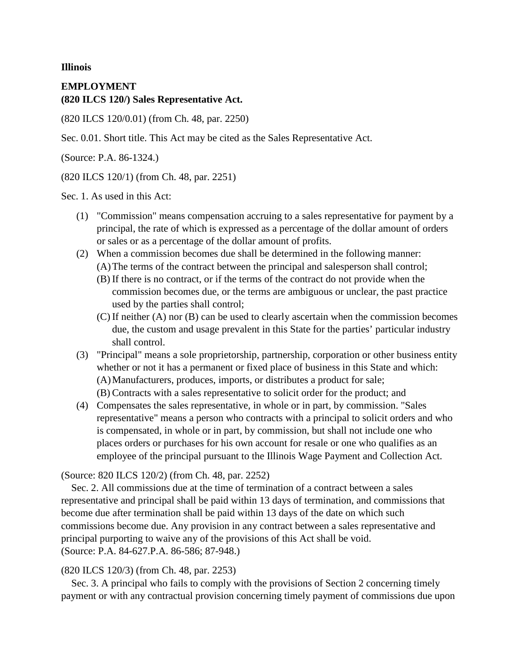**Illinois**

## **EMPLOYMENT (820 ILCS 120/) Sales Representative Act.**

(820 ILCS 120/0.01) (from Ch. 48, par. 2250)

Sec. 0.01. Short title. This Act may be cited as the Sales Representative Act.

(Source: P.A. 86-1324.)

(820 ILCS 120/1) (from Ch. 48, par. 2251)

Sec. 1. As used in this Act:

- (1) "Commission" means compensation accruing to a sales representative for payment by a principal, the rate of which is expressed as a percentage of the dollar amount of orders or sales or as a percentage of the dollar amount of profits.
- (2) When a commission becomes due shall be determined in the following manner: (A)The terms of the contract between the principal and salesperson shall control;
	- (B) If there is no contract, or if the terms of the contract do not provide when the commission becomes due, or the terms are ambiguous or unclear, the past practice used by the parties shall control;
	- (C) If neither (A) nor (B) can be used to clearly ascertain when the commission becomes due, the custom and usage prevalent in this State for the parties' particular industry shall control.
- (3) "Principal" means a sole proprietorship, partnership, corporation or other business entity whether or not it has a permanent or fixed place of business in this State and which: (A)Manufacturers, produces, imports, or distributes a product for sale; (B) Contracts with a sales representative to solicit order for the product; and
- (4) Compensates the sales representative, in whole or in part, by commission. "Sales representative" means a person who contracts with a principal to solicit orders and who is compensated, in whole or in part, by commission, but shall not include one who places orders or purchases for his own account for resale or one who qualifies as an employee of the principal pursuant to the Illinois Wage Payment and Collection Act.

(Source: 820 ILCS 120/2) (from Ch. 48, par. 2252)

Sec. 2. All commissions due at the time of termination of a contract between a sales representative and principal shall be paid within 13 days of termination, and commissions that become due after termination shall be paid within 13 days of the date on which such commissions become due. Any provision in any contract between a sales representative and principal purporting to waive any of the provisions of this Act shall be void. (Source: P.A. 84-627.P.A. 86-586; 87-948.)

## (820 ILCS 120/3) (from Ch. 48, par. 2253)

Sec. 3. A principal who fails to comply with the provisions of Section 2 concerning timely payment or with any contractual provision concerning timely payment of commissions due upon